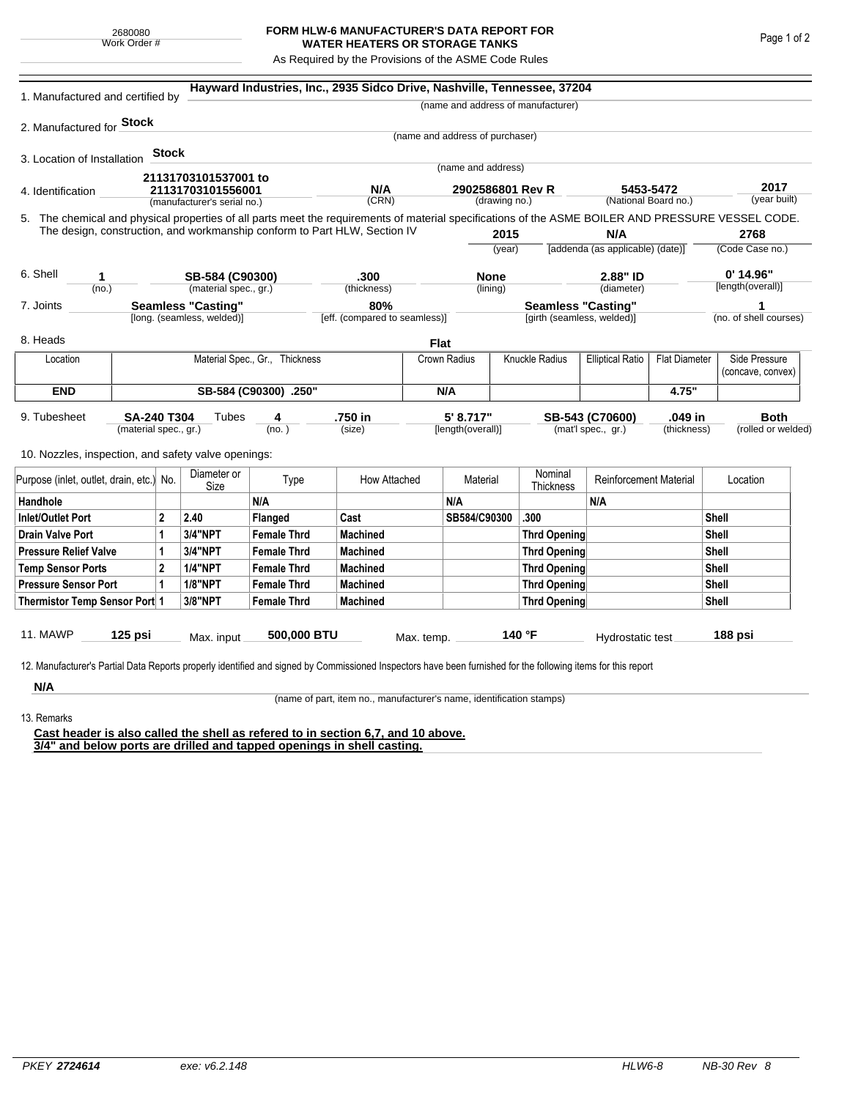## **FORM HLW-6 MANUFACTURER'S DATA REPORT FOR WATER HEATERS OR STORAGE TANKS**

As Required by the Provisions of the ASME Code Rules

| 1. Manufactured and certified by                                                                                                                                                                                                                                                    |           |                      |                                                  |                                | Hayward Industries, Inc., 2935 Sidco Drive, Nashville, Tennessee, 37204 |                                      |                                   |  |                                    |                                                         |                      |                        |                                    |  |
|-------------------------------------------------------------------------------------------------------------------------------------------------------------------------------------------------------------------------------------------------------------------------------------|-----------|----------------------|--------------------------------------------------|--------------------------------|-------------------------------------------------------------------------|--------------------------------------|-----------------------------------|--|------------------------------------|---------------------------------------------------------|----------------------|------------------------|------------------------------------|--|
|                                                                                                                                                                                                                                                                                     |           |                      |                                                  |                                |                                                                         |                                      |                                   |  | (name and address of manufacturer) |                                                         |                      |                        |                                    |  |
| 2. Manufactured for Stock                                                                                                                                                                                                                                                           |           |                      |                                                  |                                |                                                                         |                                      |                                   |  |                                    |                                                         |                      |                        |                                    |  |
|                                                                                                                                                                                                                                                                                     |           |                      |                                                  |                                |                                                                         |                                      | (name and address of purchaser)   |  |                                    |                                                         |                      |                        |                                    |  |
| 3. Location of Installation                                                                                                                                                                                                                                                         |           | <b>Stock</b>         |                                                  |                                |                                                                         |                                      |                                   |  |                                    |                                                         |                      |                        |                                    |  |
|                                                                                                                                                                                                                                                                                     |           |                      | 21131703101537001 to                             |                                |                                                                         |                                      | (name and address)                |  |                                    |                                                         |                      |                        |                                    |  |
| 4. Identification                                                                                                                                                                                                                                                                   |           |                      | 21131703101556001<br>(manufacturer's serial no.) |                                | N/A<br>(CRN)                                                            |                                      | 2902586801 Rev R<br>(drawing no.) |  | 5453-5472                          |                                                         | 2017<br>(year built) |                        |                                    |  |
|                                                                                                                                                                                                                                                                                     |           | (National Board no.) |                                                  |                                |                                                                         |                                      |                                   |  |                                    |                                                         |                      |                        |                                    |  |
| 5. The chemical and physical properties of all parts meet the requirements of material specifications of the ASME BOILER AND PRESSURE VESSEL CODE.<br>The design, construction, and workmanship conform to Part HLW, Section IV<br>2015<br>N/A<br>2768                              |           |                      |                                                  |                                |                                                                         |                                      |                                   |  |                                    |                                                         |                      |                        |                                    |  |
|                                                                                                                                                                                                                                                                                     |           |                      |                                                  |                                |                                                                         |                                      | (year)                            |  |                                    | [addenda (as applicable) (date)]                        |                      | (Code Case no.)        |                                    |  |
|                                                                                                                                                                                                                                                                                     |           |                      |                                                  |                                |                                                                         |                                      |                                   |  |                                    |                                                         |                      |                        |                                    |  |
| 6. Shell<br>1                                                                                                                                                                                                                                                                       |           |                      | SB-584 (C90300)                                  |                                | .300                                                                    |                                      | <b>None</b>                       |  | 2.88" ID                           |                                                         | [length(overall)]    |                        | $0'$ 14.96"                        |  |
| (no.)                                                                                                                                                                                                                                                                               |           |                      | (material spec., gr.)                            | (thickness)                    |                                                                         |                                      | (lining)                          |  | (diameter)                         |                                                         |                      |                        |                                    |  |
| <b>Seamless "Casting"</b><br>7. Joints                                                                                                                                                                                                                                              |           |                      | [long. (seamless, welded)]                       |                                |                                                                         | 80%<br>[eff. (compared to seamless)] |                                   |  |                                    | <b>Seamless "Casting"</b><br>[girth (seamless, welded)] |                      | (no. of shell courses) |                                    |  |
| 8. Heads                                                                                                                                                                                                                                                                            |           |                      |                                                  |                                |                                                                         | <b>Flat</b>                          |                                   |  |                                    |                                                         |                      |                        |                                    |  |
| Location                                                                                                                                                                                                                                                                            |           |                      |                                                  | Material Spec., Gr., Thickness |                                                                         |                                      | Knuckle Radius<br>Crown Radius    |  |                                    | <b>Elliptical Ratio</b><br><b>Flat Diameter</b>         |                      |                        | Side Pressure<br>(concave, convex) |  |
| <b>END</b>                                                                                                                                                                                                                                                                          |           |                      | SB-584 (C90300) .250"                            |                                |                                                                         |                                      | N/A                               |  |                                    |                                                         | 4.75"                |                        |                                    |  |
| .750 in<br>5' 8.717"<br>.049 in<br><b>Both</b><br>9. Tubesheet<br><b>SA-240 T304</b><br>Tubes<br>SB-543 (C70600)<br>4<br>(material spec., gr.)<br>(no. )<br>(size)<br>[length(overall)]<br>(mat'l spec., gr.)<br>(thickness)<br>10. Nozzles, inspection, and safety valve openings: |           |                      |                                                  |                                |                                                                         |                                      |                                   |  |                                    |                                                         | (rolled or welded)   |                        |                                    |  |
| Purpose (inlet, outlet, drain, etc.) No.                                                                                                                                                                                                                                            |           |                      | Diameter or<br>Size                              | Type                           | How Attached                                                            |                                      | Material                          |  | Nominal<br>Thickness               | <b>Reinforcement Material</b>                           |                      | Location               |                                    |  |
| Handhole                                                                                                                                                                                                                                                                            |           |                      |                                                  | N/A                            |                                                                         |                                      | N/A                               |  |                                    | N/A                                                     |                      |                        |                                    |  |
| 2<br>Inlet/Outlet Port                                                                                                                                                                                                                                                              |           |                      | 2.40                                             | Flanged                        | Cast                                                                    |                                      | SB584/C90300                      |  | .300                               |                                                         |                      | <b>Shell</b>           |                                    |  |
| Drain Valve Port<br>1                                                                                                                                                                                                                                                               |           |                      | 3/4"NPT                                          | <b>Female Thrd</b>             | <b>Machined</b>                                                         |                                      |                                   |  | Thrd Opening                       |                                                         |                      | Shell                  |                                    |  |
| <b>Pressure Relief Valve</b><br>1                                                                                                                                                                                                                                                   |           |                      | 3/4"NPT                                          | <b>Female Thrd</b>             | <b>Machined</b>                                                         |                                      |                                   |  | Thrd Opening                       |                                                         |                      |                        | Shell                              |  |
| $\overline{2}$<br><b>Temp Sensor Ports</b>                                                                                                                                                                                                                                          |           |                      | <b>1/4"NPT</b>                                   | <b>Female Thrd</b>             | <b>Machined</b>                                                         |                                      |                                   |  | Thrd Opening                       |                                                         |                      |                        | Shell                              |  |
| <b>Pressure Sensor Port</b><br>1                                                                                                                                                                                                                                                    |           |                      | <b>1/8"NPT</b>                                   | <b>Female Thrd</b>             | <b>Machined</b>                                                         |                                      |                                   |  | Thrd Opening                       |                                                         | Shell                |                        |                                    |  |
| Thermistor Temp Sensor Port 1                                                                                                                                                                                                                                                       |           |                      | 3/8"NPT                                          | <b>Female Thrd</b>             | <b>Machined</b>                                                         |                                      |                                   |  | Thrd Opening                       |                                                         | Shell                |                        |                                    |  |
| 11. MAWP<br>12. Manufacturer's Partial Data Reports properly identified and signed by Commissioned Inspectors have been furnished for the following items for this report                                                                                                           | $125$ psi |                      | Max. input                                       | 500,000 BTU                    |                                                                         | Max. temp.                           |                                   |  | 140 $\degree$ F                    | Hydrostatic test                                        |                      |                        | 188 psi                            |  |
| N/A                                                                                                                                                                                                                                                                                 |           |                      |                                                  |                                |                                                                         |                                      |                                   |  |                                    |                                                         |                      |                        |                                    |  |

(name of part, item no., manufacturer's name, identification stamps)

13. Remarks

**Cast header is also called the shell as refered to in section 6,7, and 10 above. 3/4" and below ports are drilled and tapped openings in shell casting.**